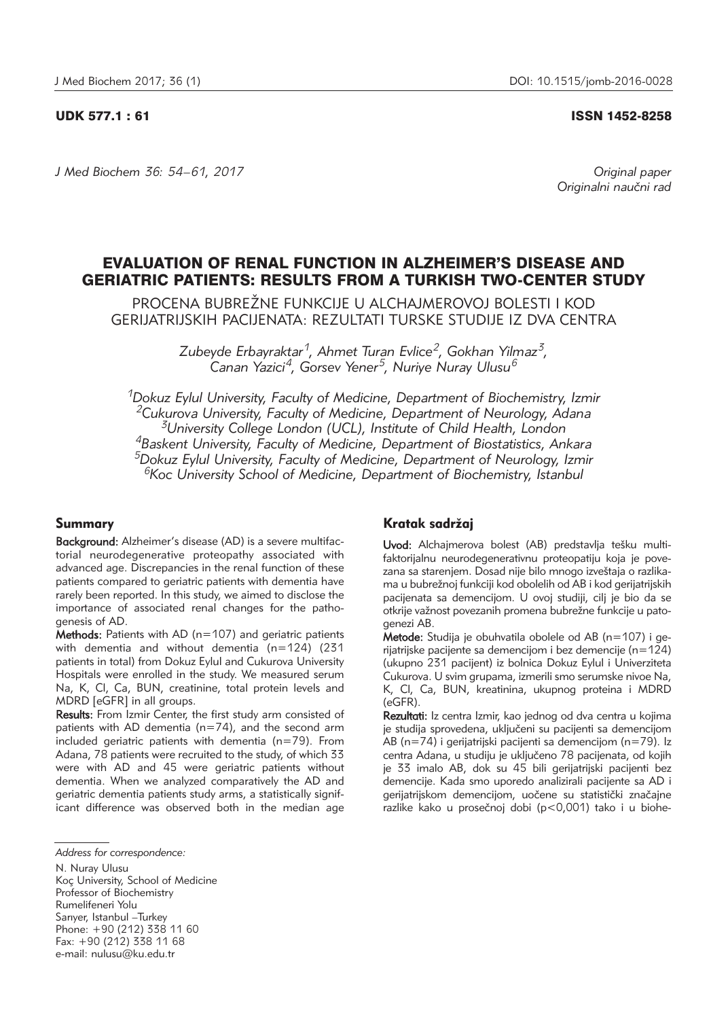#### UDK 577.1 : 61 ISSN 1452-8258

*J Med Biochem 36: 54–61, 2017 Original paper*

Originalni naučni rad

# EVALUATION OF RENAL FUNCTION IN ALZHEIMER'S DISEASE AND GERIATRIC PATIENTS: RESULTS FROM A TURKISH TWO-CENTER STUDY

PROCENA BUBREŽNE FUNKCIJE U ALCHAJMEROVOJ BOLESTI I KOD GERIJATRIJSKIH PACIJENATA: REZULTATI TURSKE STUDIJE IZ DVA CENTRA

> *Zubeyde Erbayraktar1, Ahmet Turan Evlice2, Gokhan Yilmaz3, Canan Yazici4, Gorsev Yener5, Nuriye Nuray Ulusu6*

*1Dokuz Eylul University, Faculty of Medicine, Department of Biochemistry, Izmir 2Cukurova University, Faculty of Medicine, Department of Neurology, Adana 3University College London (UCL), Institute of Child Health, London 4Baskent University, Faculty of Medicine, Department of Biostatistics, Ankara 5Dokuz Eylul University, Faculty of Medicine, Department of Neurology, Izmir 6Koc University School of Medicine, Department of Biochemistry, Istanbul*

# Summary

Background: Alzheimer's disease (AD) is a severe multifactorial neurodegenerative proteopathy associated with advanced age. Discrepancies in the renal function of these patients compared to geriatric patients with dementia have rarely been reported. In this study, we aimed to disclose the importance of associated renal changes for the pathogenesis of AD.

Methods: Patients with AD ( $n=107$ ) and geriatric patients with dementia and without dementia (n=124) (231 patients in total) from Dokuz Eylul and Cukurova University Hospitals were enrolled in the study. We measured serum Na, K, Cl, Ca, BUN, creatinine, total protein levels and MDRD [eGFR] in all groups.

Results: From Izmir Center, the first study arm consisted of patients with AD dementia (n=74), and the second arm included geriatric patients with dementia (n=79). From Adana, 78 patients were recruited to the study, of which 33 were with AD and 45 were geriatric patients without dementia. When we analyzed comparatively the AD and geriatric dementia patients study arms, a statistically significant difference was observed both in the median age

N. Nuray Ulusu Koç University, School of Medicine Professor of Biochemistry Rumelifeneri Yolu Sarıyer, Istanbul –Turkey Phone: +90 (212) 338 11 60 Fax:  $+90(212)$  338 11 68 e-mail: nulusu@ku.edu.tr

# Kratak sadržaj

Uvod: Alchajmerova bolest (AB) predstavlja tešku multifaktorijalnu neurodegenerativnu proteopatiju koja je povezana sa starenjem. Dosad nije bilo mnogo izveštaja o razlikama u bubrežnoj funkciji kod obolelih od AB i kod gerijatrijskih pacijenata sa demencijom. U ovoj studiji, cilj je bio da se otkrije važnost povezanih promena bubrežne funkcije u patogenezi AB.

Metode: Studija je obuhvatila obolele od AB ( $n=107$ ) i gerijatrijske pacijente sa demencijom i bez demencije (n=124) (ukupno 231 pacijent) iz bolnica Dokuz Eylul i Univerziteta Cukurova. U svim grupama, izmerili smo serumske nivoe Na, K, Cl, Ca, BUN, kreatinina, ukupnog proteina i MDRD (eGFR).

Rezultati: Iz centra Izmir, kao jednog od dva centra u kojima je studija sprovedena, uključeni su pacijenti sa demencijom AB (n=74) i gerijatrijski pacijenti sa demencijom (n=79). Iz centra Adana, u studiju je uključeno 78 pacijenata, od kojih je 33 imalo AB, dok su 45 bili gerijatrijski pacijenti bez demencije. Kada smo uporedo analizirali pacijente sa AD i gerijatrijskom demencijom, uočene su statistički značajne razlike kako u prosečnoj dobi (p<0,001) tako i u biohe-

*Address for correspondence:*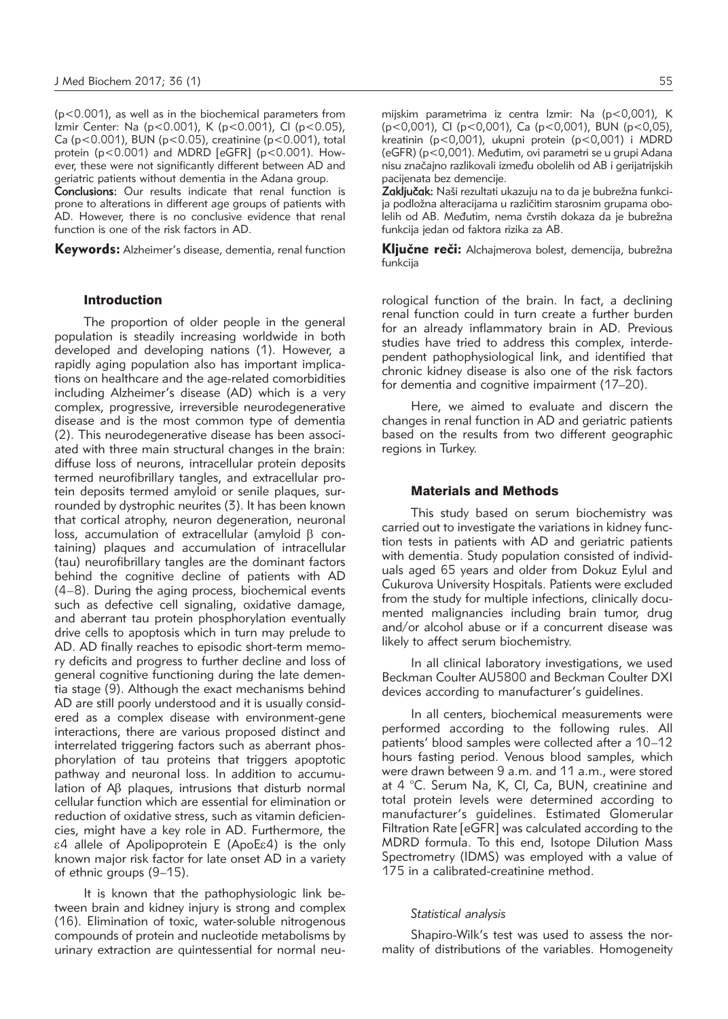(p<0.001), as well as in the biochemical parameters from Izmir Center: Na (p<0.001), K (p<0.001), Cl (p<0.05), Ca (p<0.001), BUN (p<0.05), creatinine (p<0.001), total protein ( $p < 0.001$ ) and MDRD [eGFR] ( $p < 0.001$ ). However, these were not significantly different between AD and geriatric patients without dementia in the Adana group.

Conclusions: Our results indicate that renal function is prone to alterations in different age groups of patients with AD. However, there is no conclusive evidence that renal function is one of the risk factors in AD.

**Keywords:** Alzheimer's disease, dementia, renal function

#### Introduction

The proportion of older people in the general population is steadily increasing worldwide in both developed and developing nations (1). However, a rapidly aging population also has important implications on healthcare and the age-related comorbidities including Alzheimer's disease (AD) which is a very complex, progressive, irreversible neurodegenerative disease and is the most common type of dementia (2). This neurodegenerative disease has been associated with three main structural changes in the brain: diffuse loss of neurons, intracellular protein deposits termed neurofibrillary tangles, and extracellular protein deposits termed amyloid or senile plaques, surrounded by dystrophic neurites (3). It has been known that cortical atrophy, neuron degeneration, neuronal loss, accumulation of extracellular (amyloid  $\beta$  containing) plaques and accumulation of intracellular (tau) neurofibrillary tangles are the dominant factors behind the cognitive decline of patients with AD (4–8). During the aging process, biochemical events such as defective cell signaling, oxidative damage, and aberrant tau protein phosphorylation eventually drive cells to apoptosis which in turn may prelude to AD. AD finally reaches to episodic short-term memory deficits and progress to further decline and loss of general cognitive functioning during the late dementia stage (9). Although the exact mechanisms behind AD are still poorly understood and it is usually considered as a complex disease with environment-gene interactions, there are various proposed distinct and interrelated triggering factors such as aberrant phosphorylation of tau proteins that triggers apoptotic pathway and neuronal loss. In addition to accumulation of Ab plaques, intrusions that disturb normal cellular function which are essential for elimination or reduction of oxidative stress, such as vitamin deficiencies, might have a key role in AD. Furthermore, the e4 allele of Apolipoprotein E (ApoEe4) is the only known major risk factor for late onset AD in a variety of ethnic groups (9–15).

It is known that the pathophysiologic link between brain and kidney injury is strong and complex (16). Elimination of toxic, water-soluble nitrogenous compounds of protein and nucleotide metabolisms by urinary extraction are quintessential for normal neumijskim parametrima iz centra Izmir: Na (p<0,001), K (p<0,001), Cl (p<0,001), Ca (p<0,001), BUN (p<0,05), kreatinin (p<0,001), ukupni protein (p<0,001) i MDRD (eGFR) ( $p < 0.001$ ). Međutim, ovi parametri se u grupi Adana nisu značajno razlikovali između obolelih od AB i gerijatrijskih pacijenata bez demencije.

Zaključak: Naši rezultati ukazuju na to da je bubrežna funkcija podložna alteracijama u različitim starosnim grupama obolelih od AB. Međutim, nema čvrstih dokaza da je bubrežna funkcija jedan od faktora rizika za AB.

Ključne reči: Alchajmerova bolest, demencija, bubrežna funkcija

rological function of the brain. In fact, a declining renal function could in turn create a further burden for an already inflammatory brain in AD. Previous studies have tried to address this complex, interdependent pathophysiological link, and identified that chronic kidney disease is also one of the risk factors for dementia and cognitive impairment (17–20).

Here, we aimed to evaluate and discern the changes in renal function in AD and geriatric patients based on the results from two different geographic regions in Turkey.

# Materials and Methods

This study based on serum biochemistry was carried out to investigate the variations in kidney function tests in patients with AD and geriatric patients with dementia. Study population consisted of individuals aged 65 years and older from Dokuz Eylul and Cukurova University Hospitals. Patients were excluded from the study for multiple infections, clinically documented malignancies including brain tumor, drug and/or alcohol abuse or if a concurrent disease was likely to affect serum biochemistry.

In all clinical laboratory investigations, we used Beckman Coulter AU5800 and Beckman Coulter DXI devices according to manufacturer's guidelines.

In all centers, biochemical measurements were performed according to the following rules. All patients' blood samples were collected after a 10–12 hours fasting period. Venous blood samples, which were drawn between 9 a.m. and 11 a.m., were stored at 4 °C. Serum Na, K, Cl, Ca, BUN, creatinine and total protein levels were determined according to manufacturer's guidelines. Estimated Glomerular Filtration Rate [eGFR] was calculated according to the MDRD formula. To this end, Isotope Dilution Mass Spectrometry (IDMS) was employed with a value of 175 in a calibrated-creatinine method.

### *Statistical analysis*

Shapiro-Wilk's test was used to assess the normality of distributions of the variables. Homogeneity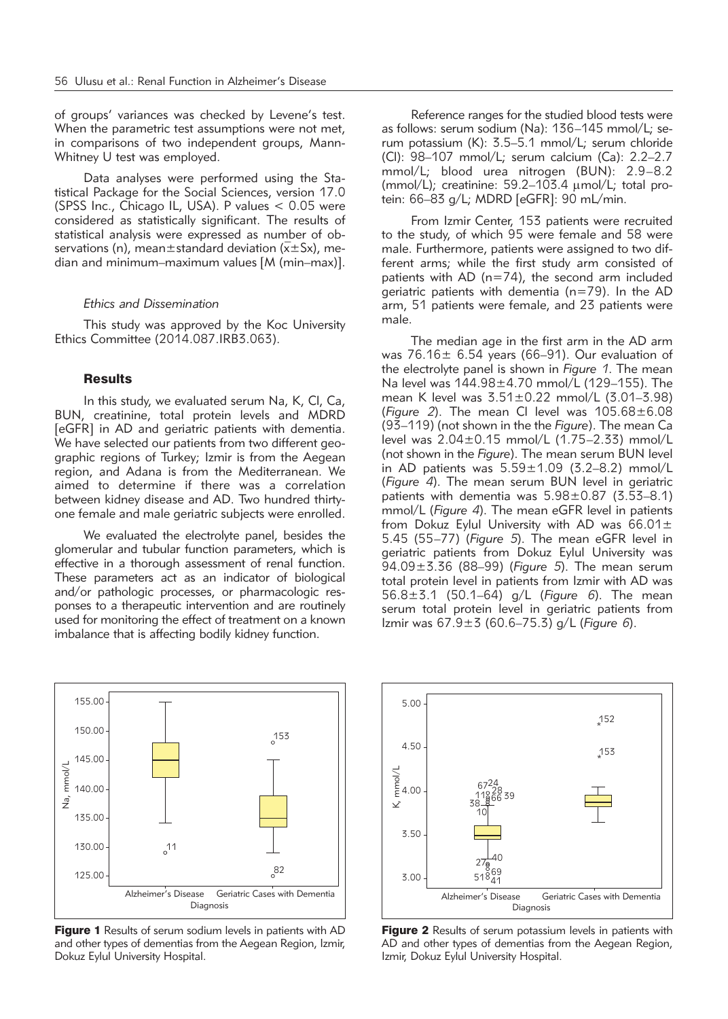of groups' variances was checked by Levene's test. When the parametric test assumptions were not met, in comparisons of two independent groups, Mann-Whitney U test was employed.

Data analyses were performed using the Statistical Package for the Social Sciences, version 17.0 (SPSS Inc., Chicago IL, USA). P values < 0.05 were considered as statistically significant. The results of statistical analysis were expressed as number of observations (n), mean $\pm$ standard deviation ( $\overline{x}$  $\pm$ Sx), median and minimum–maximum values [M (min–max)].

### *Ethics and Dissemination*

This study was approved by the Koc University Ethics Committee (2014.087.IRB3.063).

#### **Results**

In this study, we evaluated serum Na, K, Cl, Ca, BUN, creatinine, total protein levels and MDRD [eGFR] in AD and geriatric patients with dementia. We have selected our patients from two different geographic regions of Turkey; Izmir is from the Aegean region, and Adana is from the Mediterranean. We aimed to determine if there was a correlation between kidney disease and AD. Two hundred thirtyone female and male geriatric subjects were enrolled.

We evaluated the electrolyte panel, besides the glomerular and tubular function parameters, which is effective in a thorough assessment of renal function. These parameters act as an indicator of biological and/or pathologic processes, or pharmacologic responses to a therapeutic intervention and are routinely used for monitoring the effect of treatment on a known imbalance that is affecting bodily kidney function.

Reference ranges for the studied blood tests were as follows: serum sodium (Na): 136-145 mmol/L; serum potassium (K): 3.5–5.1 mmol/L; serum chloride (Cl): 98–107 mmol/L; serum calcium (Ca): 2.2–2.7 mmol/L; blood urea nitrogen (BUN): 2.9–8.2 (mmol/L); creatinine:  $59.2-103.4 \mu$ mol/L; total protein: 66–83 g/L; MDRD [eGFR]: 90 mL/min.

From Izmir Center, 153 patients were recruited to the study, of which 95 were female and 58 were male. Furthermore, patients were assigned to two different arms; while the first study arm consisted of patients with AD (n=74), the second arm included geriatric patients with dementia (n=79). In the AD arm, 51 patients were female, and 23 patients were male.

The median age in the first arm in the AD arm was  $76.16 \pm 6.54$  years (66-91). Our evaluation of the electrolyte panel is shown in *Figure 1*. The mean Na level was 144.98±4.70 mmol/L (129–155). The mean K level was 3.51±0.22 mmol/L (3.01–3.98) (*Figure 2*). The mean Cl level was 105.68±6.08 (93–119) (not shown in the the *Figure*). The mean Ca level was 2.04±0.15 mmol/L (1.75–2.33) mmol/L (not shown in the *Figure*). The mean serum BUN level in AD patients was  $5.59\pm1.09$  (3.2–8.2) mmol/L (*Figure 4*).The mean serum BUN level in geriatric patients with dementia was 5.98±0.87 (3.53–8.1) mmol/L(*Figure 4*). The mean eGFR level in patients from Dokuz Eylul University with AD was  $66.01 \pm$ 5.45 (55–77) (*Figure 5*). The mean eGFR level in geriatric patients from Dokuz Eylul University was 94.09±3.36 (88–99) (*Figure 5*). The mean serum total protein level in patients from Izmir with AD was 56.8±3.1 (50.1–64) g/L (*Figure 6*). The mean serum total protein level in geriatric patients from Izmir was 67.9±3 (60.6–75.3) g/L (*Figure 6*).



Figure 1 Results of serum sodium levels in patients with AD and other types of dementias from the Aegean Region, Izmir, Dokuz Eylul University Hospital.



Figure 2 Results of serum potassium levels in patients with AD and other types of dementias from the Aegean Region, Izmir, Dokuz Eylul University Hospital.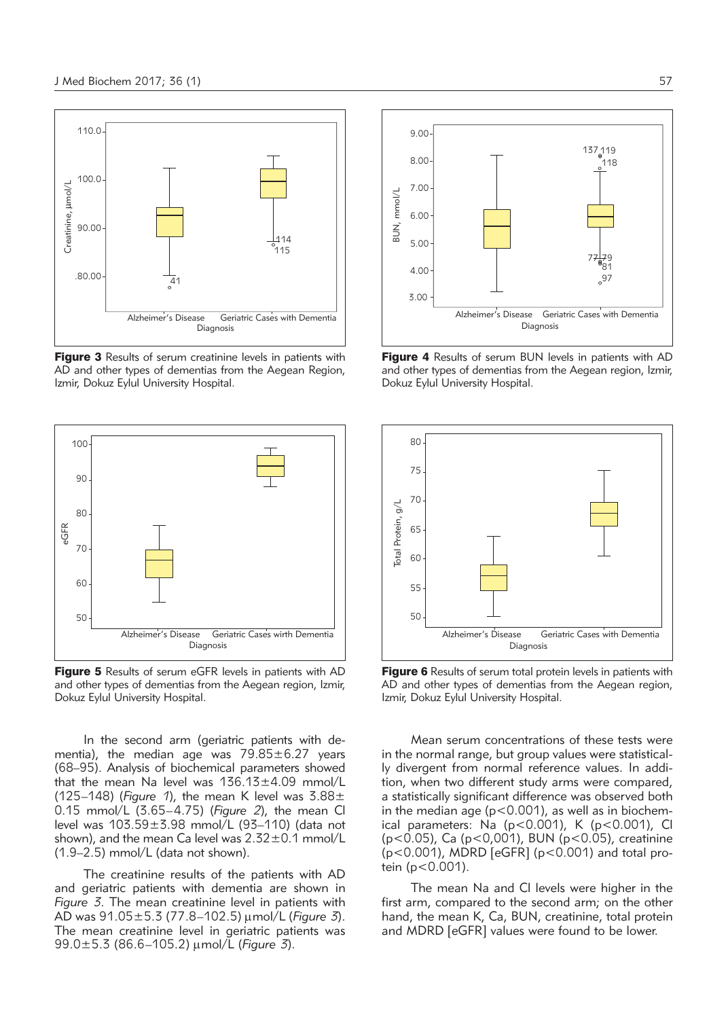

**Figure 3** Results of serum creatinine levels in patients with AD and other types of dementias from the Aegean Region, Izmir, Dokuz Eylul University Hospital.



Figure 5 Results of serum eGFR levels in patients with AD and other types of dementias from the Aegean region, Izmir, Dokuz Eylul University Hospital.

In the second arm (geriatric patients with dementia), the median age was  $79.85 \pm 6.27$  years (68–95). Analysis of biochemical parameters showed that the mean Na level was 136.13±4.09 mmol/L (125–148) (*Figure 1*), the mean K level was 3.88± 0.15 mmol/L (3.65–4.75) (*Figure 2*), the mean Cl level was 103.59±3.98 mmol/L (93–110) (data not shown), and the mean Ca level was  $2.32\pm0.1$  mmol/L (1.9–2.5) mmol/L (data not shown).

The creatinine results of the patients with AD and geriatric patients with dementia are shown in *Figure 3*. The mean creatinine level in patients with AD was 91.05±5.3 (77.8–102.5) mmol/L (*Figure 3*). The mean creatinine level in geriatric patients was 99.0±5.3 (86.6–105.2) mmol/L (*Figure 3*).



**Figure 4** Results of serum BUN levels in patients with AD and other types of dementias from the Aegean region, Izmir, Dokuz Eylul University Hospital.



Figure 6 Results of serum total protein levels in patients with AD and other types of dementias from the Aegean region, Izmir, Dokuz Eylul University Hospital.

Mean serum concentrations of these tests were in the normal range, but group values were statistically divergent from normal reference values. In addition, when two different study arms were compared, a statistically significant difference was observed both in the median age ( $p < 0.001$ ), as well as in biochemical parameters: Na  $(p<0.001)$ , K  $(p<0.001)$ , Cl (p<0.05), Ca (p<0,001), BUN (p<0.05), creatinine (p<0.001), MDRD [eGFR] (p<0.001) and total protein (p<0.001).

The mean Na and Cl levels were higher in the first arm, compared to the second arm; on the other hand, the mean K, Ca, BUN, creatinine, total protein and MDRD [eGFR] values were found to be lower.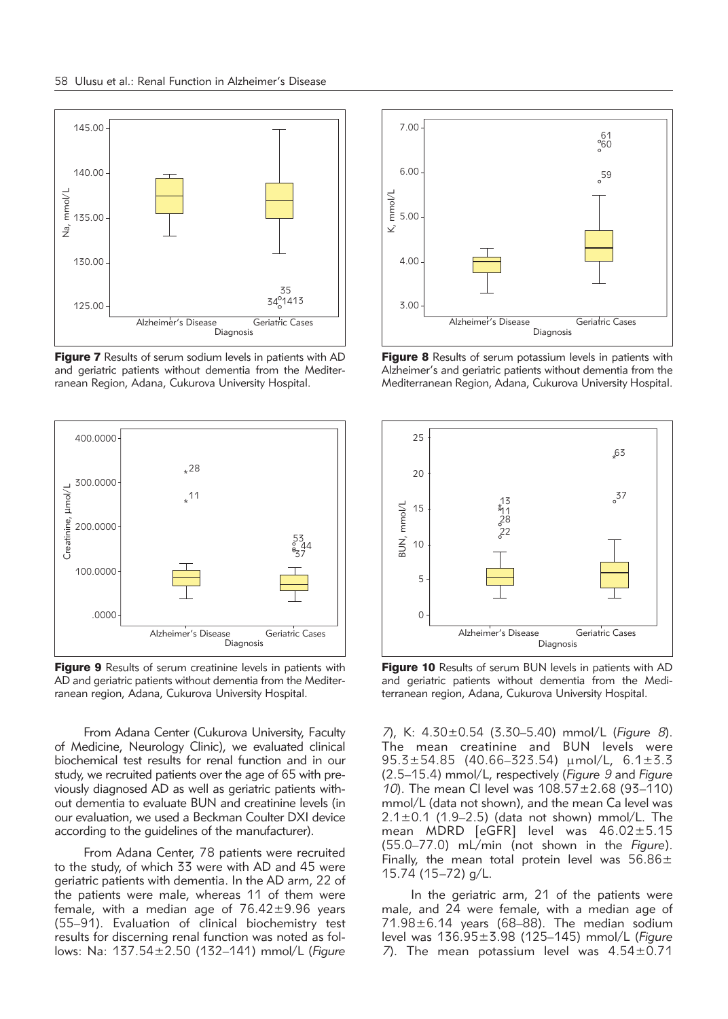

Figure 7 Results of serum sodium levels in patients with AD and geriatric patients without dementia from the Mediterranean Region, Adana, Cukurova University Hospital.



Figure 9 Results of serum creatinine levels in patients with AD and geriatric patients without dementia from the Mediterranean region, Adana, Cukurova University Hospital.

From Adana Center (Cukurova University, Faculty of Medicine, Neurology Clinic), we evaluated clinical biochemical test results for renal function and in our study, we recruited patients over the age of 65 with previously diagnosed AD as well as geriatric patients without dementia to evaluate BUN and creatinine levels (in our evaluation, we used a Beckman Coulter DXI device according to the guidelines of the manufacturer).

From Adana Center, 78 patients were recruited to the study, of which 33 were with AD and 45 were geriatric patients with dementia. In the AD arm, 22 of the patients were male, whereas 11 of them were female, with a median age of  $76.42 \pm 9.96$  years (55–91). Evaluation of clinical biochemistry test results for discerning renal function was noted as follows: Na: 137.54±2.50 (132–141) mmol/L (*Figure*



Figure 8 Results of serum potassium levels in patients with Alzheimer's and geriatric patients without dementia from the Mediterranean Region, Adana, Cukurova University Hospital.



Figure 10 Results of serum BUN levels in patients with AD and geriatric patients without dementia from the Mediterranean region, Adana, Cukurova University Hospital.

*7*), K: 4.30±0.54 (3.30–5.40) mmol/L (*Figure 8*). The mean creatinine and BUN levels were  $95.3 \pm 54.85$  (40.66-323.54)  $\mu$ mol/L, 6.1 $\pm$ 3.3 (2.5–15.4) mmol/L, respectively (*Figure 9* and *Figure 10*). The mean Cl level was 108.57±2.68 (93–110) mmol/L (data not shown), and the mean Ca level was  $2.1 \pm 0.1$  (1.9–2.5) (data not shown) mmol/L. The mean MDRD [eGFR] level was 46.02±5.15 (55.0–77.0) mL/min (not shown in the *Figure*). Finally, the mean total protein level was  $56.86 \pm$ 15.74 (15–72) g/L.

In the geriatric arm, 21 of the patients were male, and 24 were female, with a median age of 71.98±6.14 years (68–88). The median sodium level was 136.95±3.98 (125–145) mmol/L (*Figure 7*). The mean potassium level was 4.54±0.71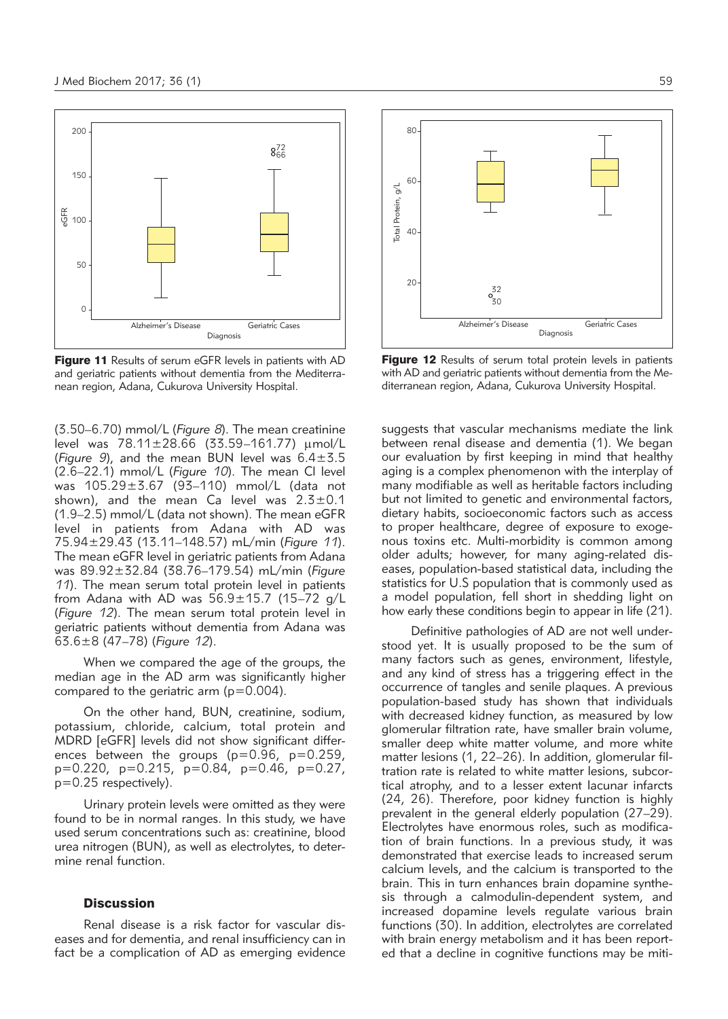

Figure 11 Results of serum eGFR levels in patients with AD and geriatric patients without dementia from the Mediterranean region, Adana, Cukurova University Hospital.

(3.50–6.70) mmol/L (*Figure 8*). The mean creatinine level was  $78.11 \pm 28.66$  (33.59–161.77)  $\mu$ mol/L (*Figure 9*), and the mean BUN level was 6.4±3.5 (2.6–22.1) mmol/L (*Figure 10*). The mean Cl level was 105.29±3.67 (93–110) mmol/L (data not shown), and the mean Ca level was  $2.3 \pm 0.1$ (1.9–2.5) mmol/L (data not shown). The mean eGFR level in patients from Adana with AD was 75.94±29.43 (13.11–148.57) mL/min (*Figure 11*). The mean eGFR level in geriatric patients from Adana was 89.92±32.84 (38.76–179.54) mL/min (*Figure 11*). The mean serum total protein level in patients from Adana with AD was 56.9±15.7 (15–72 g/L (*Figure 12*). The mean serum total protein level in geriatric patients without dementia from Adana was 63.6±8 (47–78) (*Figure 12*).

When we compared the age of the groups, the median age in the AD arm was significantly higher compared to the geriatric arm ( $p=0.004$ ).

On the other hand, BUN, creatinine, sodium, potassium, chloride, calcium, total protein and MDRD [eGFR] levels did not show significant differences between the groups ( $p=0.96$ ,  $p=0.259$ , p=0.220, p=0.215, p=0.84, p=0.46, p=0.27,  $p=0.25$  respectively).

Urinary protein levels were omitted as they were found to be in normal ranges. In this study, we have used serum concentrations such as: creatinine, blood urea nitrogen (BUN), as well as electrolytes, to determine renal function.

# **Discussion**

Renal disease is a risk factor for vascular diseases and for dementia, and renal insufficiency can in fact be a complication of AD as emerging evidence



Figure 12 Results of serum total protein levels in patients with AD and geriatric patients without dementia from the Mediterranean region, Adana, Cukurova University Hospital.

suggests that vascular mechanisms mediate the link between renal disease and dementia (1). We began our evaluation by first keeping in mind that healthy aging is a complex phenomenon with the interplay of many modifiable as well as heritable factors including but not limited to genetic and environmental factors, dietary habits, socioeconomic factors such as access to proper healthcare, degree of exposure to exogenous toxins etc. Multi-morbidity is common among older adults; however, for many aging-related diseases, population-based statistical data, including the statistics for U.S population that is commonly used as a model population, fell short in shedding light on how early these conditions begin to appear in life (21).

Definitive pathologies of AD are not well understood yet. It is usually proposed to be the sum of many factors such as genes, environment, lifestyle, and any kind of stress has a triggering effect in the occurrence of tangles and senile plaques. A previous population-based study has shown that individuals with decreased kidney function, as measured by low glomerular filtration rate, have smaller brain volume, smaller deep white matter volume, and more white matter lesions (1, 22–26). In addition, glomerular filtration rate is related to white matter lesions, subcortical atrophy, and to a lesser extent lacunar infarcts (24, 26). Therefore, poor kidney function is highly prevalent in the general elderly population (27–29). Electrolytes have enormous roles, such as modification of brain functions. In a previous study, it was demonstrated that exercise leads to increased serum calcium levels, and the calcium is transported to the brain. This in turn enhances brain dopamine synthesis through a calmodulin-dependent system, and increased dopamine levels regulate various brain functions (30). In addition, electrolytes are correlated with brain energy metabolism and it has been reported that a decline in cognitive functions may be miti-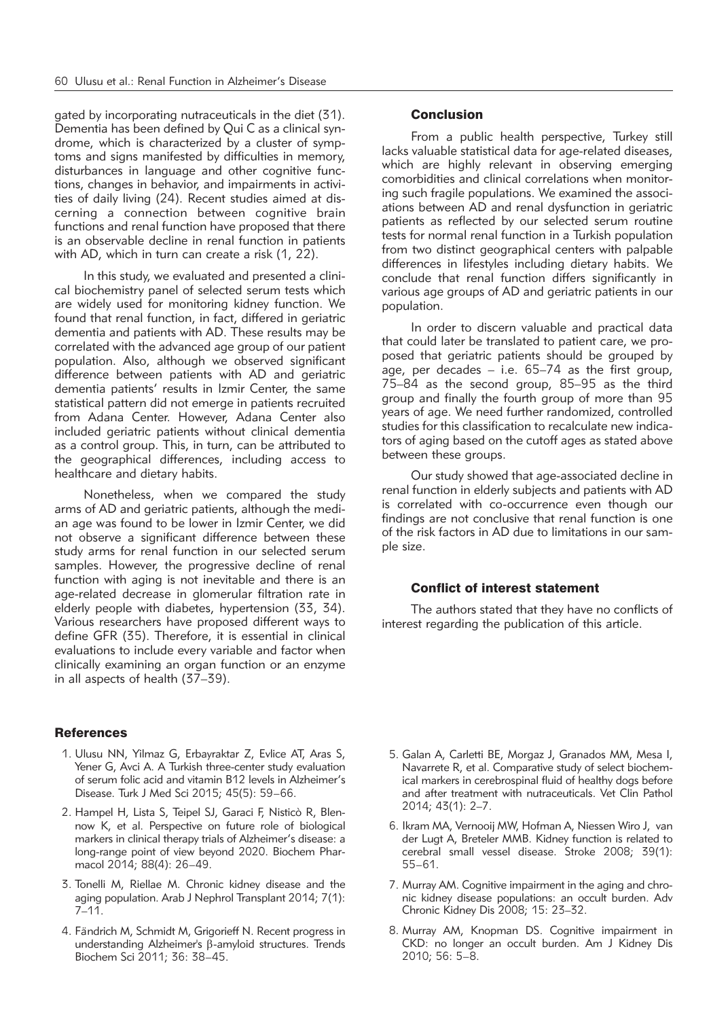gated by incorporating nutraceuticals in the diet (31). Dementia has been defined by Qui C as a clinical syndrome, which is characterized by a cluster of symptoms and signs manifested by difficulties in memory, disturbances in language and other cognitive functions, changes in behavior, and impairments in activities of daily living (24). Recent studies aimed at discerning a connection between cognitive brain functions and renal function have proposed that there is an observable decline in renal function in patients with AD, which in turn can create a risk (1, 22).

In this study, we evaluated and presented a clinical biochemistry panel of selected serum tests which are widely used for monitoring kidney function. We found that renal function, in fact, differed in geriatric dementia and patients with AD. These results may be correlated with the advanced age group of our patient population. Also, although we observed significant difference between patients with AD and geriatric dementia patients' results in Izmir Center, the same statistical pattern did not emerge in patients recruited from Adana Center. However, Adana Center also included geriatric patients without clinical dementia as a control group. This, in turn, can be attributed to the geographical differences, including access to healthcare and dietary habits.

Nonetheless, when we compared the study arms of AD and geriatric patients, although the median age was found to be lower in Izmir Center, we did not observe a significant difference between these study arms for renal function in our selected serum samples. However, the progressive decline of renal function with aging is not inevitable and there is an age-related decrease in glomerular filtration rate in elderly people with diabetes, hypertension (33, 34). Various researchers have proposed different ways to define GFR (35). Therefore, it is essential in clinical evaluations to include every variable and factor when clinically examining an organ function or an enzyme in all aspects of health (37–39).

#### **References**

- 1. Ulusu NN, Yilmaz G, Erbayraktar Z, Evlice AT, Aras S, Yener G, Avci A. A Turkish three-center study evaluation of serum folic acid and vitamin B12 levels in Alzheimer's Disease. Turk J Med Sci 2015; 45(5): 59–66.
- 2. Hampel H, Lista S, Teipel SJ, Garaci F, Nisticò R, Blennow K, et al. Perspective on future role of biological markers in clinical therapy trials of Alzheimer's disease: a long-range point of view beyond 2020. Biochem Pharmacol 2014; 88(4): 26–49.
- 3. Tonelli M, Riellae M. Chronic kidney disease and the aging population. Arab J Nephrol Transplant 2014; 7(1):  $7 - 11$ .
- 4. Fändrich M, Schmidt M, Grigorieff N. Recent progress in understanding Alzheimer's  $\beta$ -amyloid structures. Trends Biochem Sci 2011; 36: 38–45.

# **Conclusion**

From a public health perspective, Turkey still lacks valuable statistical data for age-related diseases, which are highly relevant in observing emerging comorbidities and clinical correlations when monitoring such fragile populations. We examined the associations between AD and renal dysfunction in geriatric patients as reflected by our selected serum routine tests for normal renal function in a Turkish population from two distinct geographical centers with palpable differences in lifestyles including dietary habits. We conclude that renal function differs significantly in various age groups of AD and geriatric patients in our population.

In order to discern valuable and practical data that could later be translated to patient care, we proposed that geriatric patients should be grouped by age, per decades – i.e. 65–74 as the first group, 75–84 as the second group, 85–95 as the third group and finally the fourth group of more than 95 years of age. We need further randomized, controlled studies for this classification to recalculate new indicators of aging based on the cutoff ages as stated above between these groups.

Our study showed that age-associated decline in renal function in elderly subjects and patients with AD is correlated with co-occurrence even though our findings are not conclusive that renal function is one of the risk factors in AD due to limitations in our sample size.

## Conflict of interest statement

The authors stated that they have no conflicts of interest regarding the publication of this article.

- 5. Galan A, Carletti BE, Morgaz J, Granados MM, Mesa I, Navarrete R, et al. Comparative study of select biochemical markers in cerebrospinal fluid of healthy dogs before and after treatment with nutraceuticals. Vet Clin Pathol 2014; 43(1): 2–7.
- 6. Ikram MA, Vernooij MW, Hofman A, Niessen Wiro J, van der Lugt A, Breteler MMB. Kidney function is related to cerebral small vessel disease. Stroke 2008; 39(1): 55–61.
- 7. Murray AM. Cognitive impairment in the aging and chronic kidney disease populations: an occult burden. Adv Chronic Kidney Dis 2008; 15: 23–32.
- 8. Murray AM, Knopman DS. Cognitive impairment in CKD: no longer an occult burden. Am J Kidney Dis 2010; 56: 5–8.